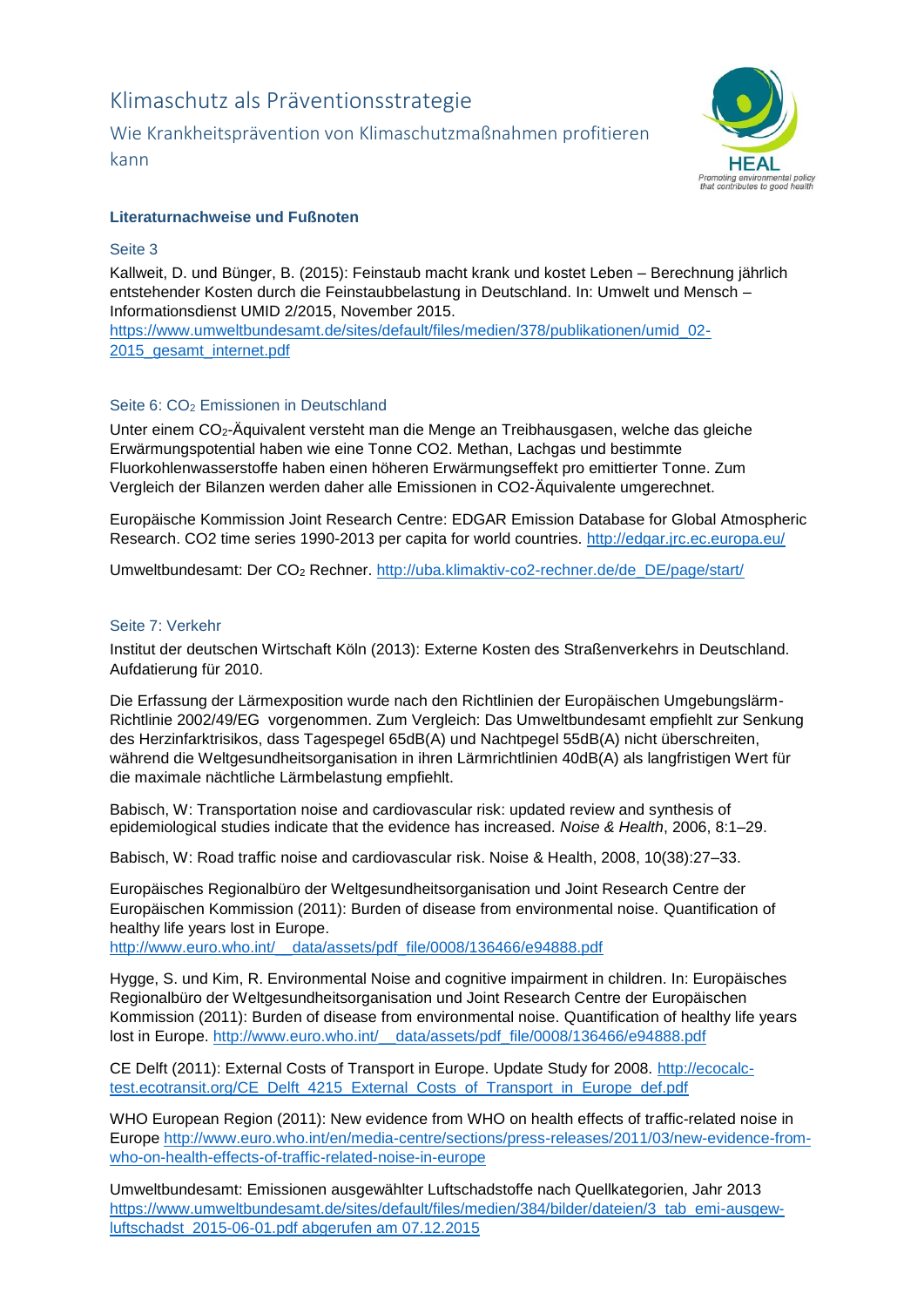# Klimaschutz als Präventionsstrategie

Wie Krankheitsprävention von Klimaschutzmaßnahmen profitieren kann



# **Literaturnachweise und Fußnoten**

## Seite 3

Kallweit, D. und Bünger, B. (2015): Feinstaub macht krank und kostet Leben – Berechnung jährlich entstehender Kosten durch die Feinstaubbelastung in Deutschland. In: Umwelt und Mensch – Informationsdienst UMID 2/2015, November 2015. [https://www.umweltbundesamt.de/sites/default/files/medien/378/publikationen/umid\\_02-](https://www.umweltbundesamt.de/sites/default/files/medien/378/publikationen/umid_02-2015_gesamt_internet.pdf)

[2015\\_gesamt\\_internet.pdf](https://www.umweltbundesamt.de/sites/default/files/medien/378/publikationen/umid_02-2015_gesamt_internet.pdf)

## Seite 6: CO<sub>2</sub> Emissionen in Deutschland

Unter einem CO2-Äquivalent versteht man die Menge an Treibhausgasen, welche das gleiche Erwärmungspotential haben wie eine Tonne CO2. Methan, Lachgas und bestimmte Fluorkohlenwasserstoffe haben einen höheren Erwärmungseffekt pro emittierter Tonne. Zum Vergleich der Bilanzen werden daher alle Emissionen in CO2-Äquivalente umgerechnet.

Europäische Kommission Joint Research Centre: EDGAR Emission Database for Global Atmospheric Research. CO2 time series 1990-2013 per capita for world countries.<http://edgar.jrc.ec.europa.eu/>

Umweltbundesamt: Der CO<sup>2</sup> Rechner. [http://uba.klimaktiv-co2-rechner.de/de\\_DE/page/start/](http://uba.klimaktiv-co2-rechner.de/de_DE/page/start/)

### Seite 7: Verkehr

Institut der deutschen Wirtschaft Köln (2013): Externe Kosten des Straßenverkehrs in Deutschland. Aufdatierung für 2010.

Die Erfassung der Lärmexposition wurde nach den Richtlinien der Europäischen Umgebungslärm-Richtlinie 2002/49/EG vorgenommen. Zum Vergleich: Das Umweltbundesamt empfiehlt zur Senkung des Herzinfarktrisikos, dass Tagespegel 65dB(A) und Nachtpegel 55dB(A) nicht überschreiten, während die Weltgesundheitsorganisation in ihren Lärmrichtlinien 40dB(A) als langfristigen Wert für die maximale nächtliche Lärmbelastung empfiehlt.

Babisch, W: Transportation noise and cardiovascular risk: updated review and synthesis of epidemiological studies indicate that the evidence has increased. *Noise & Health*, 2006, 8:1–29.

Babisch, W: Road traffic noise and cardiovascular risk. Noise & Health, 2008, 10(38):27–33.

Europäisches Regionalbüro der Weltgesundheitsorganisation und Joint Research Centre der Europäischen Kommission (2011): Burden of disease from environmental noise. Quantification of healthy life years lost in Europe.

http://www.euro.who.int/ data/assets/pdf\_file/0008/136466/e94888.pdf

Hygge, S. und Kim, R. Environmental Noise and cognitive impairment in children. In: Europäisches Regionalbüro der Weltgesundheitsorganisation und Joint Research Centre der Europäischen Kommission (2011): Burden of disease from environmental noise. Quantification of healthy life years lost in Europe. [http://www.euro.who.int/\\_\\_data/assets/pdf\\_file/0008/136466/e94888.pdf](http://www.euro.who.int/__data/assets/pdf_file/0008/136466/e94888.pdf)

CE Delft (2011): External Costs of Transport in Europe. Update Study for 2008. [http://ecocalc](http://ecocalc-test.ecotransit.org/CE_Delft_4215_External_Costs_of_Transport_in_Europe_def.pdf)[test.ecotransit.org/CE\\_Delft\\_4215\\_External\\_Costs\\_of\\_Transport\\_in\\_Europe\\_def.pdf](http://ecocalc-test.ecotransit.org/CE_Delft_4215_External_Costs_of_Transport_in_Europe_def.pdf)

WHO European Region (2011): New evidence from WHO on health effects of traffic-related noise in Europe [http://www.euro.who.int/en/media-centre/sections/press-releases/2011/03/new-evidence-from](http://www.euro.who.int/en/media-centre/sections/press-releases/2011/03/new-evidence-from-who-on-health-effects-of-traffic-related-noise-in-europe)[who-on-health-effects-of-traffic-related-noise-in-europe](http://www.euro.who.int/en/media-centre/sections/press-releases/2011/03/new-evidence-from-who-on-health-effects-of-traffic-related-noise-in-europe)

Umweltbundesamt: Emissionen ausgewählter Luftschadstoffe nach Quellkategorien, Jahr 2013 [https://www.umweltbundesamt.de/sites/default/files/medien/384/bilder/dateien/3\\_tab\\_emi-ausgew](https://www.umweltbundesamt.de/sites/default/files/medien/384/bilder/dateien/3_tab_emi-ausgew-luftschadst_2015-06-01.pdf%20abgerufen%20am%2007.12.2015)[luftschadst\\_2015-06-01.pdf abgerufen am 07.12.2015](https://www.umweltbundesamt.de/sites/default/files/medien/384/bilder/dateien/3_tab_emi-ausgew-luftschadst_2015-06-01.pdf%20abgerufen%20am%2007.12.2015)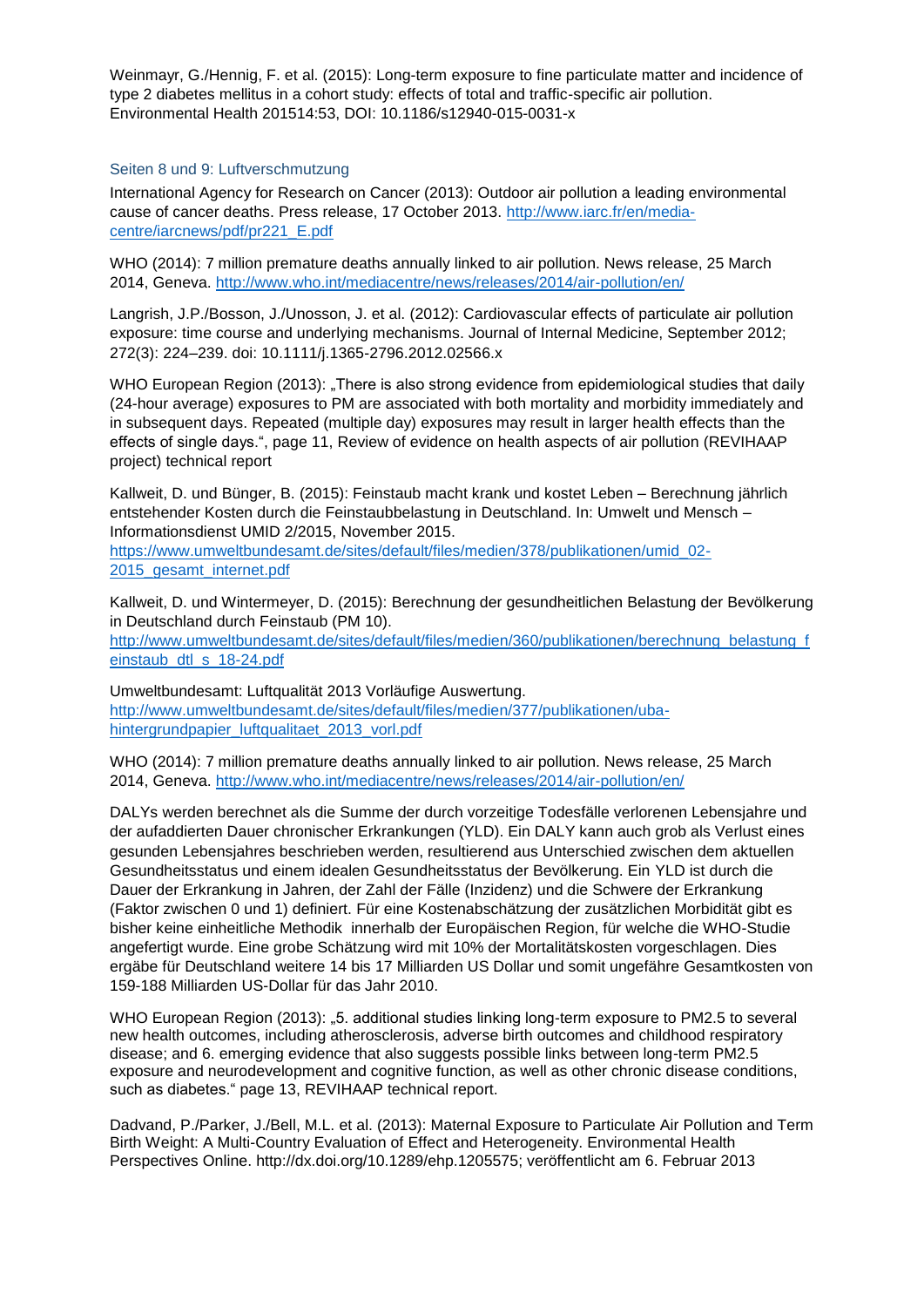Weinmayr, G./Hennig, F. et al. (2015): Long-term exposure to fine particulate matter and incidence of type 2 diabetes mellitus in a cohort study: effects of total and traffic-specific air pollution. Environmental Health 201514:53, DOI: 10.1186/s12940-015-0031-x

## Seiten 8 und 9: Luftverschmutzung

International Agency for Research on Cancer (2013): Outdoor air pollution a leading environmental cause of cancer deaths. Press release, 17 October 2013. [http://www.iarc.fr/en/media](http://www.iarc.fr/en/media-centre/iarcnews/pdf/pr221_E.pdf)[centre/iarcnews/pdf/pr221\\_E.pdf](http://www.iarc.fr/en/media-centre/iarcnews/pdf/pr221_E.pdf)

WHO (2014): 7 million premature deaths annually linked to air pollution. News release, 25 March 2014, Geneva.<http://www.who.int/mediacentre/news/releases/2014/air-pollution/en/>

Langrish, J.P./Bosson, J./Unosson, J. et al. (2012): Cardiovascular effects of particulate air pollution exposure: time course and underlying mechanisms. Journal of Internal Medicine, September 2012; 272(3): 224–239. doi: 10.1111/j.1365-2796.2012.02566.x

WHO European Region (2013): "There is also strong evidence from epidemiological studies that daily (24-hour average) exposures to PM are associated with both mortality and morbidity immediately and in subsequent days. Repeated (multiple day) exposures may result in larger health effects than the effects of single days.", page 11, Review of evidence on health aspects of air pollution (REVIHAAP project) technical report

Kallweit, D. und Bünger, B. (2015): Feinstaub macht krank und kostet Leben – Berechnung jährlich entstehender Kosten durch die Feinstaubbelastung in Deutschland. In: Umwelt und Mensch – Informationsdienst UMID 2/2015, November 2015.

[https://www.umweltbundesamt.de/sites/default/files/medien/378/publikationen/umid\\_02-](https://www.umweltbundesamt.de/sites/default/files/medien/378/publikationen/umid_02-2015_gesamt_internet.pdf) [2015\\_gesamt\\_internet.pdf](https://www.umweltbundesamt.de/sites/default/files/medien/378/publikationen/umid_02-2015_gesamt_internet.pdf)

Kallweit, D. und Wintermeyer, D. (2015): Berechnung der gesundheitlichen Belastung der Bevölkerung in Deutschland durch Feinstaub (PM 10).

[http://www.umweltbundesamt.de/sites/default/files/medien/360/publikationen/berechnung\\_belastung\\_f](http://www.umweltbundesamt.de/sites/default/files/medien/360/publikationen/berechnung_belastung_feinstaub_dtl_s_18-24.pdf) einstaub\_dtl\_s\_18-24.pdf

Umweltbundesamt: Luftqualität 2013 Vorläufige Auswertung. [http://www.umweltbundesamt.de/sites/default/files/medien/377/publikationen/uba](http://www.umweltbundesamt.de/sites/default/files/medien/377/publikationen/uba-hintergrundpapier_luftqualitaet_2013_vorl.pdf)[hintergrundpapier\\_luftqualitaet\\_2013\\_vorl.pdf](http://www.umweltbundesamt.de/sites/default/files/medien/377/publikationen/uba-hintergrundpapier_luftqualitaet_2013_vorl.pdf)

WHO (2014): 7 million premature deaths annually linked to air pollution. News release, 25 March 2014, Geneva.<http://www.who.int/mediacentre/news/releases/2014/air-pollution/en/>

DALYs werden berechnet als die Summe der durch vorzeitige Todesfälle verlorenen Lebensjahre und der aufaddierten Dauer chronischer Erkrankungen (YLD). Ein DALY kann auch grob als Verlust eines gesunden Lebensjahres beschrieben werden, resultierend aus Unterschied zwischen dem aktuellen Gesundheitsstatus und einem idealen Gesundheitsstatus der Bevölkerung. Ein YLD ist durch die Dauer der Erkrankung in Jahren, der Zahl der Fälle (Inzidenz) und die Schwere der Erkrankung (Faktor zwischen 0 und 1) definiert. Für eine Kostenabschätzung der zusätzlichen Morbidität gibt es bisher keine einheitliche Methodik innerhalb der Europäischen Region, für welche die WHO-Studie angefertigt wurde. Eine grobe Schätzung wird mit 10% der Mortalitätskosten vorgeschlagen. Dies ergäbe für Deutschland weitere 14 bis 17 Milliarden US Dollar und somit ungefähre Gesamtkosten von 159-188 Milliarden US-Dollar für das Jahr 2010.

WHO European Region (2013): "5. additional studies linking long-term exposure to PM2.5 to several new health outcomes, including atherosclerosis, adverse birth outcomes and childhood respiratory disease; and 6. emerging evidence that also suggests possible links between long-term PM2.5 exposure and neurodevelopment and cognitive function, as well as other chronic disease conditions, such as diabetes." page 13, REVIHAAP technical report.

Dadvand, P./Parker, J./Bell, M.L. et al. (2013): Maternal Exposure to Particulate Air Pollution and Term Birth Weight: A Multi-Country Evaluation of Effect and Heterogeneity. Environmental Health Perspectives Online. http://dx.doi.org/10.1289/ehp.1205575; veröffentlicht am 6. Februar 2013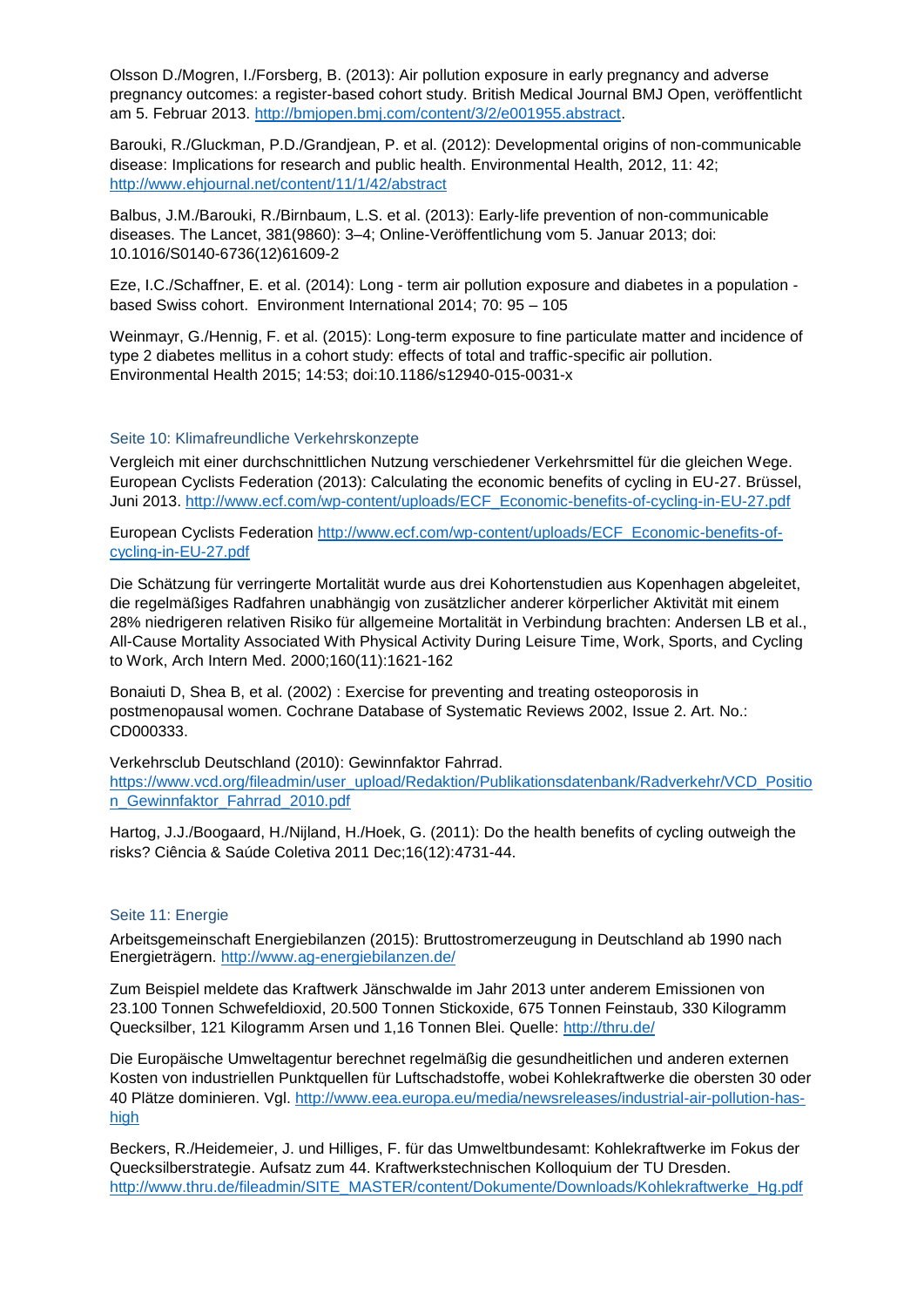Olsson D./Mogren, I./Forsberg, B. (2013): Air pollution exposure in early pregnancy and adverse pregnancy outcomes: a register-based cohort study. British Medical Journal BMJ Open, veröffentlicht am 5. Februar 2013. [http://bmjopen.bmj.com/content/3/2/e001955.abstract.](http://bmjopen.bmj.com/content/3/2/e001955.abstract)

Barouki, R./Gluckman, P.D./Grandjean, P. et al. (2012): Developmental origins of non-communicable disease: Implications for research and public health. Environmental Health, 2012, 11: 42; <http://www.ehjournal.net/content/11/1/42/abstract>

Balbus, J.M./Barouki, R./Birnbaum, L.S. et al. (2013): Early-life prevention of non-communicable diseases. The Lancet, 381(9860): 3–4; Online-Veröffentlichung vom 5. Januar 2013; doi: 10.1016/S0140-6736(12)61609-2

Eze, I.C./Schaffner, E. et al. (2014): Long - term air pollution exposure and diabetes in a population based Swiss cohort. Environment International 2014; 70: 95 – 105

Weinmayr, G./Hennig, F. et al. (2015): Long-term exposure to fine particulate matter and incidence of type 2 diabetes mellitus in a cohort study: effects of total and traffic-specific air pollution. Environmental Health 2015; 14:53; doi:10.1186/s12940-015-0031-x

#### Seite 10: Klimafreundliche Verkehrskonzepte

Vergleich mit einer durchschnittlichen Nutzung verschiedener Verkehrsmittel für die gleichen Wege. European Cyclists Federation (2013): Calculating the economic benefits of cycling in EU-27. Brüssel, Juni 2013. [http://www.ecf.com/wp-content/uploads/ECF\\_Economic-benefits-of-cycling-in-EU-27.pdf](http://www.ecf.com/wp-content/uploads/ECF_Economic-benefits-of-cycling-in-EU-27.pdf)

European Cyclists Federation [http://www.ecf.com/wp-content/uploads/ECF\\_Economic-benefits-of](http://www.ecf.com/wp-content/uploads/ECF_Economic-benefits-of-cycling-in-EU-27.pdf)[cycling-in-EU-27.pdf](http://www.ecf.com/wp-content/uploads/ECF_Economic-benefits-of-cycling-in-EU-27.pdf)

Die Schätzung für verringerte Mortalität wurde aus drei Kohortenstudien aus Kopenhagen abgeleitet, die regelmäßiges Radfahren unabhängig von zusätzlicher anderer körperlicher Aktivität mit einem 28% niedrigeren relativen Risiko für allgemeine Mortalität in Verbindung brachten: Andersen LB et al., All-Cause Mortality Associated With Physical Activity During Leisure Time, Work, Sports, and Cycling to Work, Arch Intern Med. 2000;160(11):1621-162

Bonaiuti D, Shea B, et al. (2002) : Exercise for preventing and treating osteoporosis in postmenopausal women. Cochrane Database of Systematic Reviews 2002, Issue 2. Art. No.: CD000333.

Verkehrsclub Deutschland (2010): Gewinnfaktor Fahrrad. [https://www.vcd.org/fileadmin/user\\_upload/Redaktion/Publikationsdatenbank/Radverkehr/VCD\\_Positio](https://www.vcd.org/fileadmin/user_upload/Redaktion/Publikationsdatenbank/Radverkehr/VCD_Position_Gewinnfaktor_Fahrrad_2010.pdf) [n\\_Gewinnfaktor\\_Fahrrad\\_2010.pdf](https://www.vcd.org/fileadmin/user_upload/Redaktion/Publikationsdatenbank/Radverkehr/VCD_Position_Gewinnfaktor_Fahrrad_2010.pdf)

Hartog, J.J./Boogaard, H./Nijland, H./Hoek, G. (2011): Do the health benefits of cycling outweigh the risks? Ciência & Saúde Coletiva 2011 Dec;16(12):4731-44.

#### Seite 11: Energie

Arbeitsgemeinschaft Energiebilanzen (2015): Bruttostromerzeugung in Deutschland ab 1990 nach Energieträgern.<http://www.ag-energiebilanzen.de/>

Zum Beispiel meldete das Kraftwerk Jänschwalde im Jahr 2013 unter anderem Emissionen von 23.100 Tonnen Schwefeldioxid, 20.500 Tonnen Stickoxide, 675 Tonnen Feinstaub, 330 Kilogramm Quecksilber, 121 Kilogramm Arsen und 1,16 Tonnen Blei. Quelle:<http://thru.de/>

Die Europäische Umweltagentur berechnet regelmäßig die gesundheitlichen und anderen externen Kosten von industriellen Punktquellen für Luftschadstoffe, wobei Kohlekraftwerke die obersten 30 oder 40 Plätze dominieren. Vgl. [http://www.eea.europa.eu/media/newsreleases/industrial-air-pollution-has](http://www.eea.europa.eu/media/newsreleases/industrial-air-pollution-has-high)[high](http://www.eea.europa.eu/media/newsreleases/industrial-air-pollution-has-high)

Beckers, R./Heidemeier, J. und Hilliges, F. für das Umweltbundesamt: Kohlekraftwerke im Fokus der Quecksilberstrategie. Aufsatz zum 44. Kraftwerkstechnischen Kolloquium der TU Dresden. [http://www.thru.de/fileadmin/SITE\\_MASTER/content/Dokumente/Downloads/Kohlekraftwerke\\_Hg.pdf](http://www.thru.de/fileadmin/SITE_MASTER/content/Dokumente/Downloads/Kohlekraftwerke_Hg.pdf)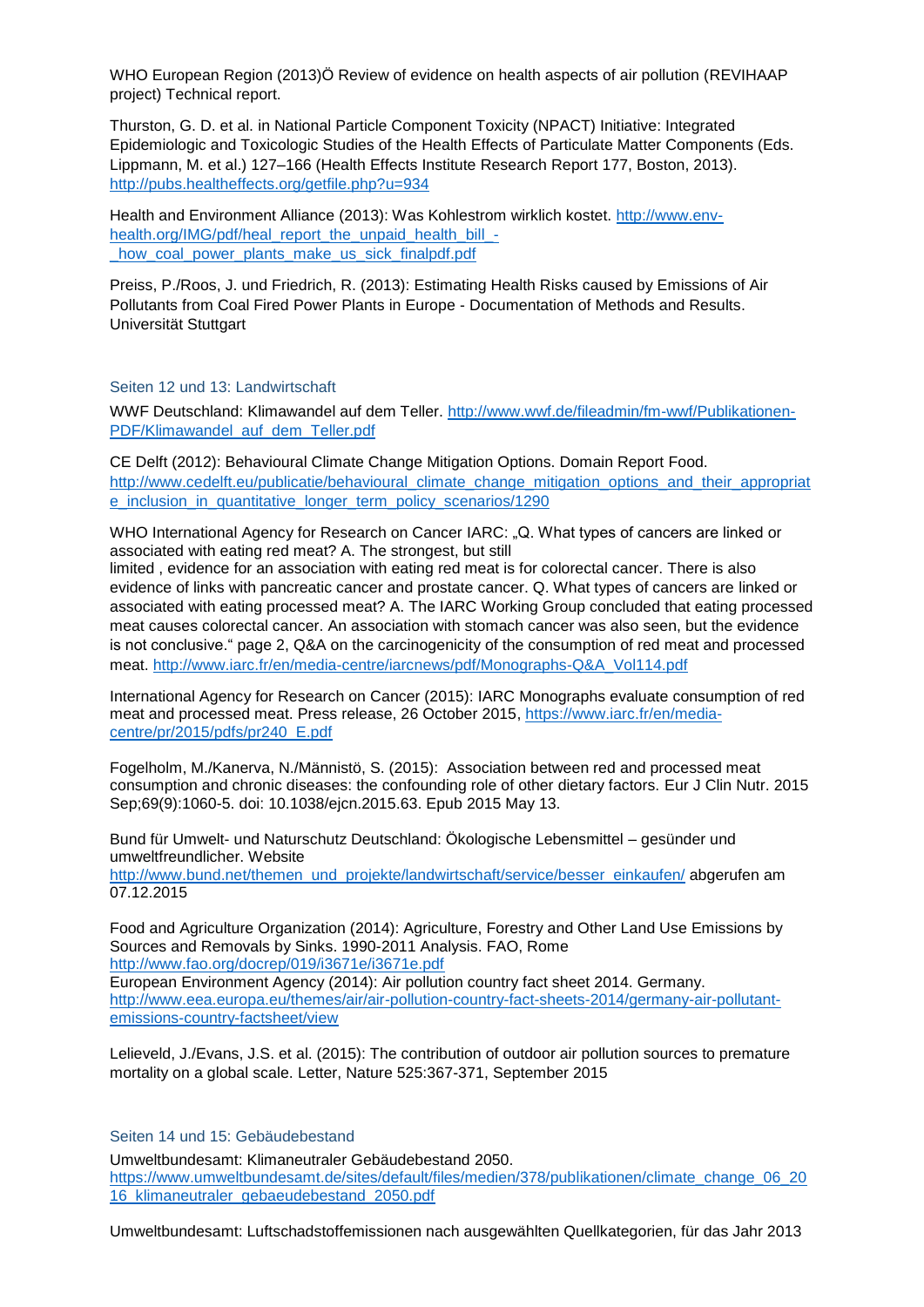WHO European Region (2013)Ö Review of evidence on health aspects of air pollution (REVIHAAP project) Technical report.

Thurston, G. D. et al. in National Particle Component Toxicity (NPACT) Initiative: Integrated Epidemiologic and Toxicologic Studies of the Health Effects of Particulate Matter Components (Eds. Lippmann, M. et al.) 127–166 (Health Effects Institute Research Report 177, Boston, 2013). <http://pubs.healtheffects.org/getfile.php?u=934>

Health and Environment Alliance (2013): Was Kohlestrom wirklich kostet. [http://www.env](http://www.env-health.org/IMG/pdf/heal_report_the_unpaid_health_bill_-_how_coal_power_plants_make_us_sick_finalpdf.pdf)[health.org/IMG/pdf/heal\\_report\\_the\\_unpaid\\_health\\_bill\\_](http://www.env-health.org/IMG/pdf/heal_report_the_unpaid_health_bill_-_how_coal_power_plants_make_us_sick_finalpdf.pdf) how coal power plants make us sick finalpdf.pdf

Preiss, P./Roos, J. und Friedrich, R. (2013): Estimating Health Risks caused by Emissions of Air Pollutants from Coal Fired Power Plants in Europe - Documentation of Methods and Results. Universität Stuttgart

Seiten 12 und 13: Landwirtschaft

WWF Deutschland: Klimawandel auf dem Teller. [http://www.wwf.de/fileadmin/fm-wwf/Publikationen-](http://www.wwf.de/fileadmin/fm-wwf/Publikationen-PDF/Klimawandel_auf_dem_Teller.pdf)[PDF/Klimawandel\\_auf\\_dem\\_Teller.pdf](http://www.wwf.de/fileadmin/fm-wwf/Publikationen-PDF/Klimawandel_auf_dem_Teller.pdf)

CE Delft (2012): Behavioural Climate Change Mitigation Options. Domain Report Food. [http://www.cedelft.eu/publicatie/behavioural\\_climate\\_change\\_mitigation\\_options\\_and\\_their\\_appropriat](http://www.cedelft.eu/publicatie/behavioural_climate_change_mitigation_options_and_their_appropriate_inclusion_in_quantitative_longer_term_policy_scenarios/1290) [e\\_inclusion\\_in\\_quantitative\\_longer\\_term\\_policy\\_scenarios/1290](http://www.cedelft.eu/publicatie/behavioural_climate_change_mitigation_options_and_their_appropriate_inclusion_in_quantitative_longer_term_policy_scenarios/1290)

WHO International Agency for Research on Cancer IARC: "Q. What types of cancers are linked or associated with eating red meat? A. The strongest, but still

limited , evidence for an association with eating red meat is for colorectal cancer. There is also evidence of links with pancreatic cancer and prostate cancer. Q. What types of cancers are linked or associated with eating processed meat? A. The IARC Working Group concluded that eating processed meat causes colorectal cancer. An association with stomach cancer was also seen, but the evidence is not conclusive." page 2, Q&A on the carcinogenicity of the consumption of red meat and processed meat. [http://www.iarc.fr/en/media-centre/iarcnews/pdf/Monographs-Q&A\\_Vol114.pdf](http://www.iarc.fr/en/media-centre/iarcnews/pdf/Monographs-Q&A_Vol114.pdf)

International Agency for Research on Cancer (2015): IARC Monographs evaluate consumption of red meat and processed meat. Press release, 26 October 2015, [https://www.iarc.fr/en/media](https://www.iarc.fr/en/media-centre/pr/2015/pdfs/pr240_E.pdf)[centre/pr/2015/pdfs/pr240\\_E.pdf](https://www.iarc.fr/en/media-centre/pr/2015/pdfs/pr240_E.pdf)

Fogelholm, M./Kanerva, N./Männistö, S. (2015): Association between red and processed meat consumption and chronic diseases: the confounding role of other dietary factors. Eur J Clin Nutr. 2015 Sep;69(9):1060-5. doi: 10.1038/ejcn.2015.63. Epub 2015 May 13.

Bund für Umwelt- und Naturschutz Deutschland: Ökologische Lebensmittel – gesünder und umweltfreundlicher. Website [http://www.bund.net/themen\\_und\\_projekte/landwirtschaft/service/besser\\_einkaufen/](http://www.bund.net/themen_und_projekte/landwirtschaft/service/besser_einkaufen/) abgerufen am 07.12.2015

Food and Agriculture Organization (2014): Agriculture, Forestry and Other Land Use Emissions by Sources and Removals by Sinks. 1990-2011 Analysis. FAO, Rome <http://www.fao.org/docrep/019/i3671e/i3671e.pdf>

European Environment Agency (2014): Air pollution country fact sheet 2014. Germany. [http://www.eea.europa.eu/themes/air/air-pollution-country-fact-sheets-2014/germany-air-pollutant](http://www.eea.europa.eu/themes/air/air-pollution-country-fact-sheets-2014/germany-air-pollutant-emissions-country-factsheet/view)[emissions-country-factsheet/view](http://www.eea.europa.eu/themes/air/air-pollution-country-fact-sheets-2014/germany-air-pollutant-emissions-country-factsheet/view)

Lelieveld, J./Evans, J.S. et al. (2015): The contribution of outdoor air pollution sources to premature mortality on a global scale. Letter, Nature 525:367-371, September 2015

Seiten 14 und 15: Gebäudebestand

Umweltbundesamt: Klimaneutraler Gebäudebestand 2050. [https://www.umweltbundesamt.de/sites/default/files/medien/378/publikationen/climate\\_change\\_06\\_20](https://www.umweltbundesamt.de/sites/default/files/medien/378/publikationen/climate_change_06_2016_klimaneutraler_gebaeudebestand_2050.pdf) [16\\_klimaneutraler\\_gebaeudebestand\\_2050.pdf](https://www.umweltbundesamt.de/sites/default/files/medien/378/publikationen/climate_change_06_2016_klimaneutraler_gebaeudebestand_2050.pdf)

Umweltbundesamt: Luftschadstoffemissionen nach ausgewählten Quellkategorien, für das Jahr 2013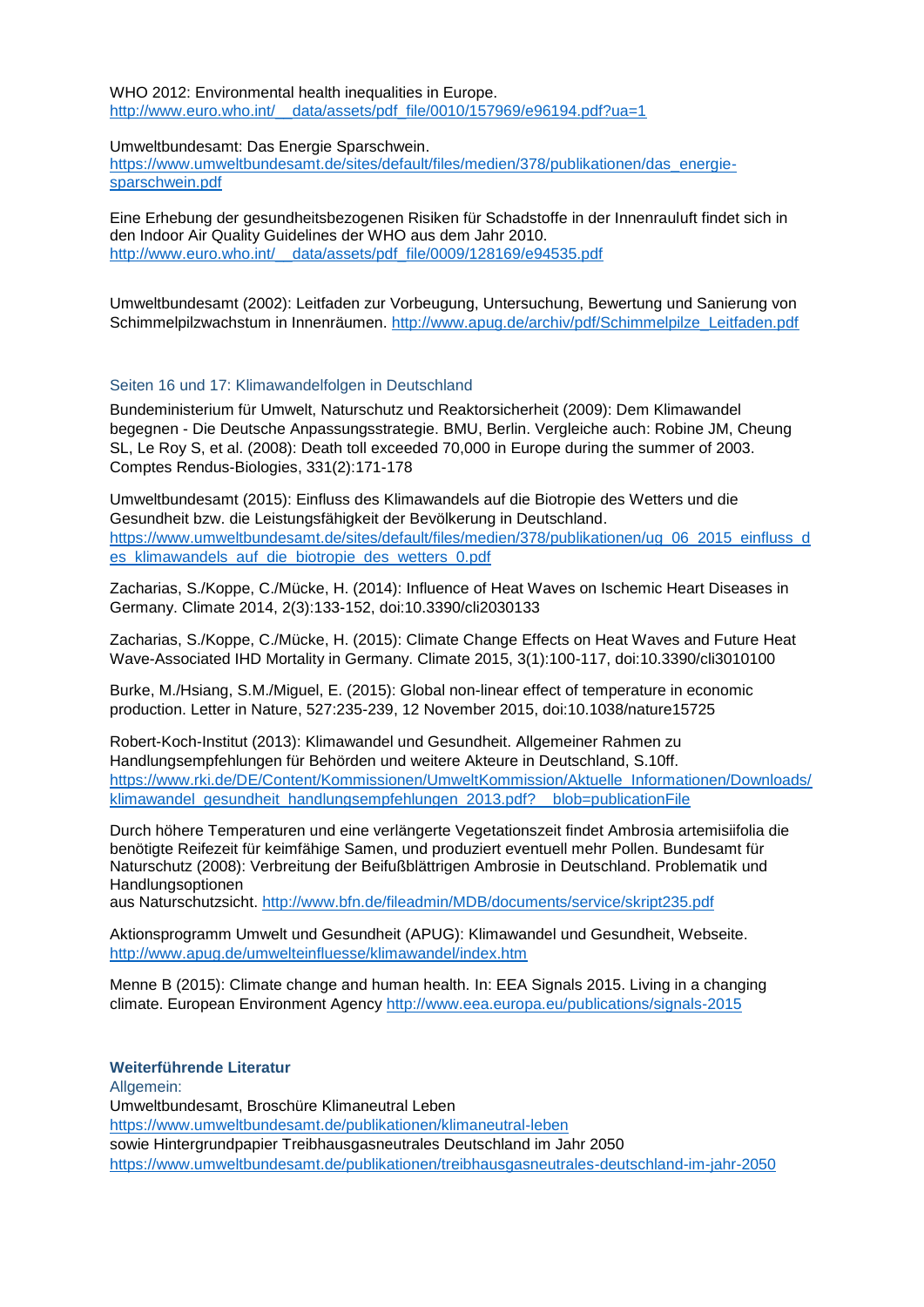WHO 2012: Environmental health inequalities in Europe. [http://www.euro.who.int/\\_\\_data/assets/pdf\\_file/0010/157969/e96194.pdf?ua=1](http://www.euro.who.int/__data/assets/pdf_file/0010/157969/e96194.pdf?ua=1)

Umweltbundesamt: Das Energie Sparschwein.

[https://www.umweltbundesamt.de/sites/default/files/medien/378/publikationen/das\\_energie](https://www.umweltbundesamt.de/sites/default/files/medien/378/publikationen/das_energie-sparschwein.pdf)[sparschwein.pdf](https://www.umweltbundesamt.de/sites/default/files/medien/378/publikationen/das_energie-sparschwein.pdf)

Eine Erhebung der gesundheitsbezogenen Risiken für Schadstoffe in der Innenrauluft findet sich in den Indoor Air Quality Guidelines der WHO aus dem Jahr 2010. http://www.euro.who.int/ data/assets/pdf\_file/0009/128169/e94535.pdf

Umweltbundesamt (2002): Leitfaden zur Vorbeugung, Untersuchung, Bewertung und Sanierung von Schimmelpilzwachstum in Innenräumen. [http://www.apug.de/archiv/pdf/Schimmelpilze\\_Leitfaden.pdf](http://www.apug.de/archiv/pdf/Schimmelpilze_Leitfaden.pdf)

#### Seiten 16 und 17: Klimawandelfolgen in Deutschland

Bundeministerium für Umwelt, Naturschutz und Reaktorsicherheit (2009): Dem Klimawandel begegnen - Die Deutsche Anpassungsstrategie. BMU, Berlin. Vergleiche auch: Robine JM, Cheung SL, Le Roy S, et al. (2008): Death toll exceeded 70,000 in Europe during the summer of 2003. Comptes Rendus-Biologies, 331(2):171-178

Umweltbundesamt (2015): Einfluss des Klimawandels auf die Biotropie des Wetters und die Gesundheit bzw. die Leistungsfähigkeit der Bevölkerung in Deutschland. [https://www.umweltbundesamt.de/sites/default/files/medien/378/publikationen/ug\\_06\\_2015\\_einfluss\\_d](https://www.umweltbundesamt.de/sites/default/files/medien/378/publikationen/ug_06_2015_einfluss_des_klimawandels_auf_die_biotropie_des_wetters_0.pdf) es klimawandels auf die biotropie des wetters 0.pdf

Zacharias, S./Koppe, C./Mücke, H. (2014): Influence of Heat Waves on Ischemic Heart Diseases in Germany. Climate 2014, 2(3):133-152, doi:10.3390/cli2030133

Zacharias, S./Koppe, C./Mücke, H. (2015): Climate Change Effects on Heat Waves and Future Heat Wave-Associated IHD Mortality in Germany. Climate 2015, 3(1):100-117, doi:10.3390/cli3010100

Burke, M./Hsiang, S.M./Miguel, E. (2015): Global non-linear effect of temperature in economic production. Letter in Nature, 527:235-239, 12 November 2015, doi:10.1038/nature15725

Robert-Koch-Institut (2013): Klimawandel und Gesundheit. Allgemeiner Rahmen zu Handlungsempfehlungen für Behörden und weitere Akteure in Deutschland, S.10ff. [https://www.rki.de/DE/Content/Kommissionen/UmweltKommission/Aktuelle\\_Informationen/Downloads/](https://www.rki.de/DE/Content/Kommissionen/UmweltKommission/Aktuelle_Informationen/Downloads/klimawandel_gesundheit_handlungsempfehlungen_2013.pdf?__blob=publicationFile) [klimawandel\\_gesundheit\\_handlungsempfehlungen\\_2013.pdf?\\_\\_blob=publicationFile](https://www.rki.de/DE/Content/Kommissionen/UmweltKommission/Aktuelle_Informationen/Downloads/klimawandel_gesundheit_handlungsempfehlungen_2013.pdf?__blob=publicationFile)

Durch höhere Temperaturen und eine verlängerte Vegetationszeit findet Ambrosia artemisiifolia die benötigte Reifezeit für keimfähige Samen, und produziert eventuell mehr Pollen. Bundesamt für Naturschutz (2008): Verbreitung der Beifußblättrigen Ambrosie in Deutschland. Problematik und Handlungsoptionen

aus Naturschutzsicht.<http://www.bfn.de/fileadmin/MDB/documents/service/skript235.pdf>

Aktionsprogramm Umwelt und Gesundheit (APUG): Klimawandel und Gesundheit, Webseite. <http://www.apug.de/umwelteinfluesse/klimawandel/index.htm>

Menne B (2015): Climate change and human health. In: EEA Signals 2015. Living in a changing climate. European Environment Agency<http://www.eea.europa.eu/publications/signals-2015>

#### **Weiterführende Literatur**

Allgemein:

Umweltbundesamt, Broschüre Klimaneutral Leben

<https://www.umweltbundesamt.de/publikationen/klimaneutral-leben>

sowie Hintergrundpapier Treibhausgasneutrales Deutschland im Jahr 2050

<https://www.umweltbundesamt.de/publikationen/treibhausgasneutrales-deutschland-im-jahr-2050>